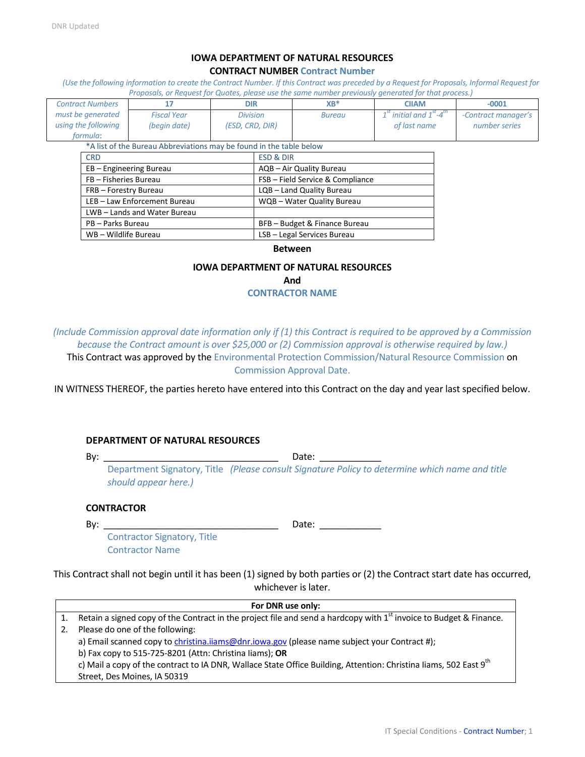### **IOWA DEPARTMENT OF NATURAL RESOURCES CONTRACT NUMBER Contract Number**

*(Use the following information to create the Contract Number. If this Contract was preceded by a Request for Proposals, Informal Request for Proposals, or Request for Quotes, please use the same number previously generated for that process.)*

| <b>Contract Numbers</b> |                            | 17                                                                  | <b>DIR</b>               |                      | $XB^*$                           | <b>CIIAM</b>                             | $-0001$             |
|-------------------------|----------------------------|---------------------------------------------------------------------|--------------------------|----------------------|----------------------------------|------------------------------------------|---------------------|
| must be generated       |                            | <b>Fiscal Year</b>                                                  | <b>Division</b>          |                      | <b>Bureau</b>                    | $1st$ initial and $1st$ -4 <sup>th</sup> | -Contract manager's |
| using the following     |                            | (begin date)                                                        | (ESD, CRD, DIR)          |                      |                                  | of last name                             | number series       |
| formula:                |                            |                                                                     |                          |                      |                                  |                                          |                     |
|                         |                            | *A list of the Bureau Abbreviations may be found in the table below |                          |                      |                                  |                                          |                     |
| <b>CRD</b>              |                            |                                                                     |                          | <b>ESD &amp; DIR</b> |                                  |                                          |                     |
|                         | EB - Engineering Bureau    |                                                                     | AQB - Air Quality Bureau |                      |                                  |                                          |                     |
|                         | FB - Fisheries Bureau      |                                                                     |                          |                      | FSB - Field Service & Compliance |                                          |                     |
|                         | FRB - Forestry Bureau      |                                                                     |                          |                      | LQB - Land Quality Bureau        |                                          |                     |
|                         | LEB-Law Enforcement Bureau |                                                                     |                          |                      | WQB - Water Quality Bureau       |                                          |                     |
|                         | LWB-Lands and Water Bureau |                                                                     |                          |                      |                                  |                                          |                     |
|                         | PB - Parks Bureau          |                                                                     |                          |                      | BFB - Budget & Finance Bureau    |                                          |                     |
|                         | WB - Wildlife Bureau       |                                                                     |                          |                      | LSB - Legal Services Bureau      |                                          |                     |

#### **Between**

### **IOWA DEPARTMENT OF NATURAL RESOURCES**

**And**

### **CONTRACTOR NAME**

*(Include Commission approval date information only if (1) this Contract is required to be approved by a Commission because the Contract amount is over \$25,000 or (2) Commission approval is otherwise required by law.)* This Contract was approved by the Environmental Protection Commission/Natural Resource Commission on Commission Approval Date.

IN WITNESS THEREOF, the parties hereto have entered into this Contract on the day and year last specified below.

### **DEPARTMENT OF NATURAL RESOURCES**

By: \_\_\_\_\_\_\_\_\_\_\_\_\_\_\_\_\_\_\_\_\_\_\_\_\_\_\_\_\_\_\_\_\_\_ Date: \_\_\_\_\_\_\_\_\_\_\_\_

Department Signatory, Title *(Please consult Signature Policy to determine which name and title should appear here.)*

### **CONTRACTOR**

By: \_\_\_\_\_\_\_\_\_\_\_\_\_\_\_\_\_\_\_\_\_\_\_\_\_\_\_\_\_\_\_\_\_\_ Date: \_\_\_\_\_\_\_\_\_\_\_\_

Contractor Signatory, Title Contractor Name

This Contract shall not begin until it has been (1) signed by both parties or (2) the Contract start date has occurred, whichever is later.

| For DNR use only: |                                                                                                                                |  |  |
|-------------------|--------------------------------------------------------------------------------------------------------------------------------|--|--|
|                   | Retain a signed copy of the Contract in the project file and send a hardcopy with 1 <sup>st</sup> invoice to Budget & Finance. |  |  |
| 2.                | Please do one of the following:                                                                                                |  |  |
|                   | a) Email scanned copy to christina.iiams@dnr.iowa.gov (please name subject your Contract #);                                   |  |  |
|                   | b) Fax copy to 515-725-8201 (Attn: Christina liams); OR                                                                        |  |  |
|                   | c) Mail a copy of the contract to IA DNR, Wallace State Office Building, Attention: Christina liams, 502 East 9 <sup>th</sup>  |  |  |
|                   | Street, Des Moines, IA 50319                                                                                                   |  |  |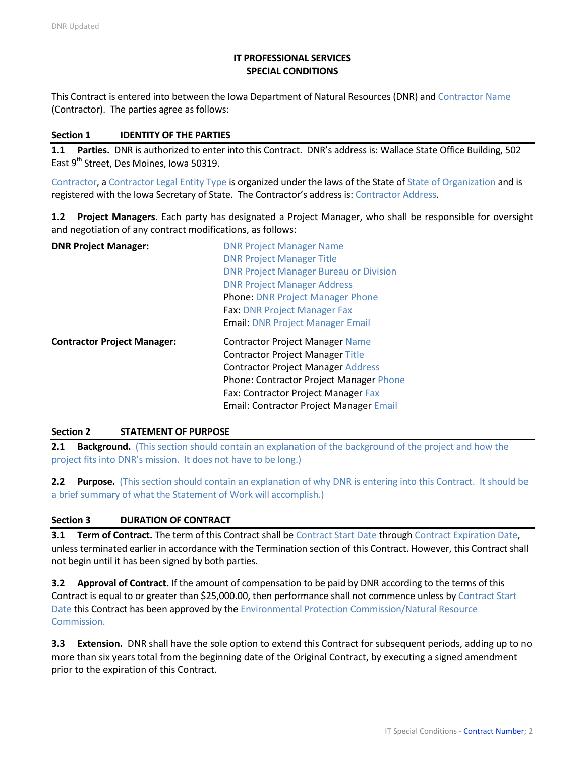# **IT PROFESSIONAL SERVICES SPECIAL CONDITIONS**

This Contract is entered into between the Iowa Department of Natural Resources (DNR) and Contractor Name (Contractor). The parties agree as follows:

### **Section 1 IDENTITY OF THE PARTIES**

**1.1 Parties.** DNR is authorized to enter into this Contract. DNR's address is: Wallace State Office Building, 502 East 9<sup>th</sup> Street, Des Moines, Iowa 50319.

Contractor, a Contractor Legal Entity Type is organized under the laws of the State of State of Organization and is registered with the Iowa Secretary of State. The Contractor's address is: Contractor Address.

**1.2 Project Managers**. Each party has designated a Project Manager, who shall be responsible for oversight and negotiation of any contract modifications, as follows:

| <b>DNR Project Manager:</b>        | <b>DNR Project Manager Name</b>               |
|------------------------------------|-----------------------------------------------|
|                                    | <b>DNR Project Manager Title</b>              |
|                                    | <b>DNR Project Manager Bureau or Division</b> |
|                                    | <b>DNR Project Manager Address</b>            |
|                                    | <b>Phone: DNR Project Manager Phone</b>       |
|                                    | <b>Fax: DNR Project Manager Fax</b>           |
|                                    | <b>Email: DNR Project Manager Email</b>       |
|                                    |                                               |
| <b>Contractor Project Manager:</b> | <b>Contractor Project Manager Name</b>        |
|                                    | <b>Contractor Project Manager Title</b>       |
|                                    | <b>Contractor Project Manager Address</b>     |
|                                    | Phone: Contractor Project Manager Phone       |
|                                    | Fax: Contractor Project Manager Fax           |

### **Section 2 STATEMENT OF PURPOSE**

**2.1 <b>Background.** (This section should contain an explanation of the background of the project and how the project fits into DNR's mission. It does not have to be long.)

**2.2 Purpose.** (This section should contain an explanation of why DNR is entering into this Contract. It should be a brief summary of what the Statement of Work will accomplish.)

## **Section 3 DURATION OF CONTRACT**

**3.1 Term of Contract.** The term of this Contract shall be Contract Start Date through Contract Expiration Date, unless terminated earlier in accordance with the Termination section of this Contract. However, this Contract shall not begin until it has been signed by both parties.

**3.2 Approval of Contract.** If the amount of compensation to be paid by DNR according to the terms of this Contract is equal to or greater than \$25,000.00, then performance shall not commence unless by Contract Start Date this Contract has been approved by the Environmental Protection Commission/Natural Resource Commission.

**3.3 Extension.** DNR shall have the sole option to extend this Contract for subsequent periods, adding up to no more than six years total from the beginning date of the Original Contract, by executing a signed amendment prior to the expiration of this Contract.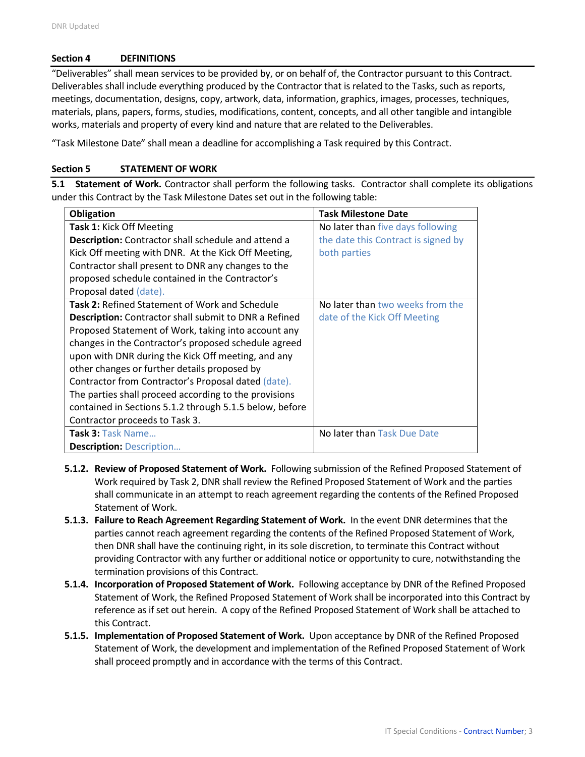### **Section 4 DEFINITIONS**

"Deliverables" shall mean services to be provided by, or on behalf of, the Contractor pursuant to this Contract. Deliverables shall include everything produced by the Contractor that is related to the Tasks, such as reports, meetings, documentation, designs, copy, artwork, data, information, graphics, images, processes, techniques, materials, plans, papers, forms, studies, modifications, content, concepts, and all other tangible and intangible works, materials and property of every kind and nature that are related to the Deliverables.

"Task Milestone Date" shall mean a deadline for accomplishing a Task required by this Contract.

### **Section 5 STATEMENT OF WORK**

**5.1 Statement of Work.** Contractor shall perform the following tasks. Contractor shall complete its obligations under this Contract by the Task Milestone Dates set out in the following table:

| Obligation                                                   | <b>Task Milestone Date</b>          |
|--------------------------------------------------------------|-------------------------------------|
| Task 1: Kick Off Meeting                                     | No later than five days following   |
| <b>Description:</b> Contractor shall schedule and attend a   | the date this Contract is signed by |
| Kick Off meeting with DNR. At the Kick Off Meeting,          | both parties                        |
| Contractor shall present to DNR any changes to the           |                                     |
| proposed schedule contained in the Contractor's              |                                     |
| Proposal dated (date).                                       |                                     |
| <b>Task 2: Refined Statement of Work and Schedule</b>        | No later than two weeks from the    |
| <b>Description:</b> Contractor shall submit to DNR a Refined | date of the Kick Off Meeting        |
| Proposed Statement of Work, taking into account any          |                                     |
| changes in the Contractor's proposed schedule agreed         |                                     |
| upon with DNR during the Kick Off meeting, and any           |                                     |
| other changes or further details proposed by                 |                                     |
| Contractor from Contractor's Proposal dated (date).          |                                     |
| The parties shall proceed according to the provisions        |                                     |
| contained in Sections 5.1.2 through 5.1.5 below, before      |                                     |
| Contractor proceeds to Task 3.                               |                                     |
| Task 3: Task Name                                            | No later than Task Due Date         |
| <b>Description: Description</b>                              |                                     |

- **5.1.2. Review of Proposed Statement of Work.** Following submission of the Refined Proposed Statement of Work required by Task 2, DNR shall review the Refined Proposed Statement of Work and the parties shall communicate in an attempt to reach agreement regarding the contents of the Refined Proposed Statement of Work.
- **5.1.3. Failure to Reach Agreement Regarding Statement of Work.** In the event DNR determines that the parties cannot reach agreement regarding the contents of the Refined Proposed Statement of Work, then DNR shall have the continuing right, in its sole discretion, to terminate this Contract without providing Contractor with any further or additional notice or opportunity to cure, notwithstanding the termination provisions of this Contract.
- **5.1.4. Incorporation of Proposed Statement of Work.** Following acceptance by DNR of the Refined Proposed Statement of Work, the Refined Proposed Statement of Work shall be incorporated into this Contract by reference as if set out herein. A copy of the Refined Proposed Statement of Work shall be attached to this Contract.
- **5.1.5. Implementation of Proposed Statement of Work.** Upon acceptance by DNR of the Refined Proposed Statement of Work, the development and implementation of the Refined Proposed Statement of Work shall proceed promptly and in accordance with the terms of this Contract.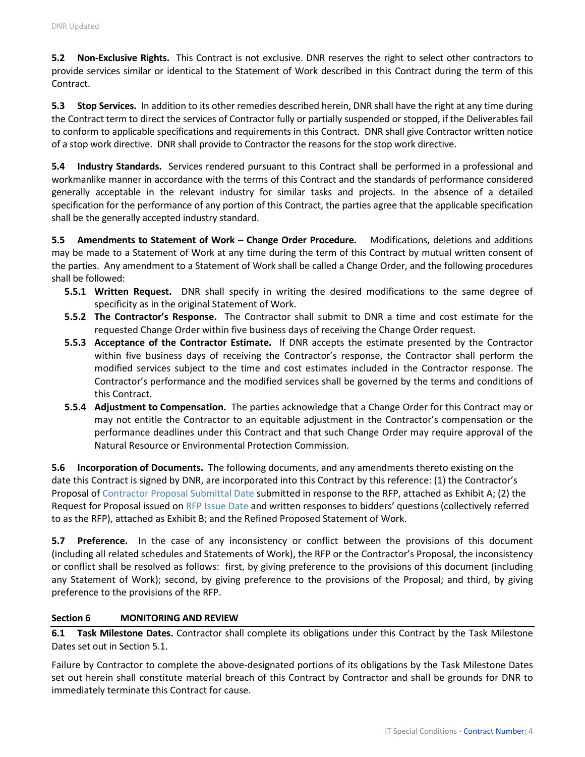**5.2 Non-Exclusive Rights.** This Contract is not exclusive. DNR reserves the right to select other contractors to provide services similar or identical to the Statement of Work described in this Contract during the term of this Contract.

**5.3 Stop Services.** In addition to its other remedies described herein, DNR shall have the right at any time during the Contract term to direct the services of Contractor fully or partially suspended or stopped, if the Deliverables fail to conform to applicable specifications and requirements in this Contract. DNR shall give Contractor written notice of a stop work directive. DNR shall provide to Contractor the reasons for the stop work directive.

**5.4 Industry Standards.** Services rendered pursuant to this Contract shall be performed in a professional and workmanlike manner in accordance with the terms of this Contract and the standards of performance considered generally acceptable in the relevant industry for similar tasks and projects. In the absence of a detailed specification for the performance of any portion of this Contract, the parties agree that the applicable specification shall be the generally accepted industry standard.

**5.5 Amendments to Statement of Work – Change Order Procedure.** Modifications, deletions and additions may be made to a Statement of Work at any time during the term of this Contract by mutual written consent of the parties. Any amendment to a Statement of Work shall be called a Change Order, and the following procedures shall be followed:

- **5.5.1 Written Request.** DNR shall specify in writing the desired modifications to the same degree of specificity as in the original Statement of Work.
- **5.5.2 The Contractor's Response.** The Contractor shall submit to DNR a time and cost estimate for the requested Change Order within five business days of receiving the Change Order request.
- **5.5.3 Acceptance of the Contractor Estimate.** If DNR accepts the estimate presented by the Contractor within five business days of receiving the Contractor's response, the Contractor shall perform the modified services subject to the time and cost estimates included in the Contractor response. The Contractor's performance and the modified services shall be governed by the terms and conditions of this Contract.
- **5.5.4 Adjustment to Compensation.** The parties acknowledge that a Change Order for this Contract may or may not entitle the Contractor to an equitable adjustment in the Contractor's compensation or the performance deadlines under this Contract and that such Change Order may require approval of the Natural Resource or Environmental Protection Commission.

**5.6 Incorporation of Documents.** The following documents, and any amendments thereto existing on the date this Contract is signed by DNR, are incorporated into this Contract by this reference: (1) the Contractor's Proposal of Contractor Proposal Submittal Date submitted in response to the RFP, attached as Exhibit A; (2) the Request for Proposal issued on RFP Issue Date and written responses to bidders' questions (collectively referred to as the RFP), attached as Exhibit B; and the Refined Proposed Statement of Work.

**5.7 Preference.** In the case of any inconsistency or conflict between the provisions of this document (including all related schedules and Statements of Work), the RFP or the Contractor's Proposal, the inconsistency or conflict shall be resolved as follows: first, by giving preference to the provisions of this document (including any Statement of Work); second, by giving preference to the provisions of the Proposal; and third, by giving preference to the provisions of the RFP.

## **Section 6 MONITORING AND REVIEW**

**6.1 Task Milestone Dates.** Contractor shall complete its obligations under this Contract by the Task Milestone Dates set out in Section 5.1.

Failure by Contractor to complete the above-designated portions of its obligations by the Task Milestone Dates set out herein shall constitute material breach of this Contract by Contractor and shall be grounds for DNR to immediately terminate this Contract for cause.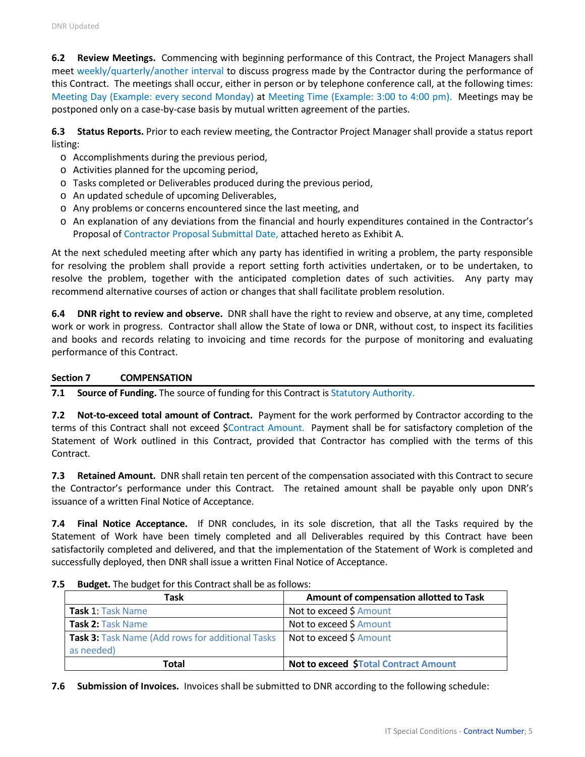**6.2 Review Meetings.** Commencing with beginning performance of this Contract, the Project Managers shall meet weekly/quarterly/another interval to discuss progress made by the Contractor during the performance of this Contract. The meetings shall occur, either in person or by telephone conference call, at the following times: Meeting Day (Example: every second Monday) at Meeting Time (Example: 3:00 to 4:00 pm). Meetings may be postponed only on a case-by-case basis by mutual written agreement of the parties.

**6.3 Status Reports.** Prior to each review meeting, the Contractor Project Manager shall provide a status report listing:

- o Accomplishments during the previous period,
- o Activities planned for the upcoming period,
- o Tasks completed or Deliverables produced during the previous period,
- o An updated schedule of upcoming Deliverables,
- o Any problems or concerns encountered since the last meeting, and
- o An explanation of any deviations from the financial and hourly expenditures contained in the Contractor's Proposal of Contractor Proposal Submittal Date, attached hereto as Exhibit A.

At the next scheduled meeting after which any party has identified in writing a problem, the party responsible for resolving the problem shall provide a report setting forth activities undertaken, or to be undertaken, to resolve the problem, together with the anticipated completion dates of such activities. Any party may recommend alternative courses of action or changes that shall facilitate problem resolution.

**6.4 DNR right to review and observe.** DNR shall have the right to review and observe, at any time, completed work or work in progress. Contractor shall allow the State of Iowa or DNR, without cost, to inspect its facilities and books and records relating to invoicing and time records for the purpose of monitoring and evaluating performance of this Contract.

### **Section 7 COMPENSATION**

**7.1 Source of Funding.** The source of funding for this Contract is Statutory Authority.

**7.2 Not-to-exceed total amount of Contract.** Payment for the work performed by Contractor according to the terms of this Contract shall not exceed \$Contract Amount. Payment shall be for satisfactory completion of the Statement of Work outlined in this Contract, provided that Contractor has complied with the terms of this Contract.

**7.3 Retained Amount.** DNR shall retain ten percent of the compensation associated with this Contract to secure the Contractor's performance under this Contract. The retained amount shall be payable only upon DNR's issuance of a written Final Notice of Acceptance.

**7.4 Final Notice Acceptance.** If DNR concludes, in its sole discretion, that all the Tasks required by the Statement of Work have been timely completed and all Deliverables required by this Contract have been satisfactorily completed and delivered, and that the implementation of the Statement of Work is completed and successfully deployed, then DNR shall issue a written Final Notice of Acceptance.

| Task                                                                  | Amount of compensation allotted to Task |
|-----------------------------------------------------------------------|-----------------------------------------|
| Task 1: Task Name                                                     | Not to exceed \$ Amount                 |
| Task 2: Task Name                                                     | Not to exceed \$ Amount                 |
| <b>Task 3: Task Name (Add rows for additional Tasks</b><br>as needed) | Not to exceed \$ Amount                 |
| Total                                                                 | Not to exceed \$Total Contract Amount   |

|  |  | 7.5 Budget. The budget for this Contract shall be as follows: |  |  |
|--|--|---------------------------------------------------------------|--|--|
|--|--|---------------------------------------------------------------|--|--|

**7.6 Submission of Invoices.** Invoices shall be submitted to DNR according to the following schedule: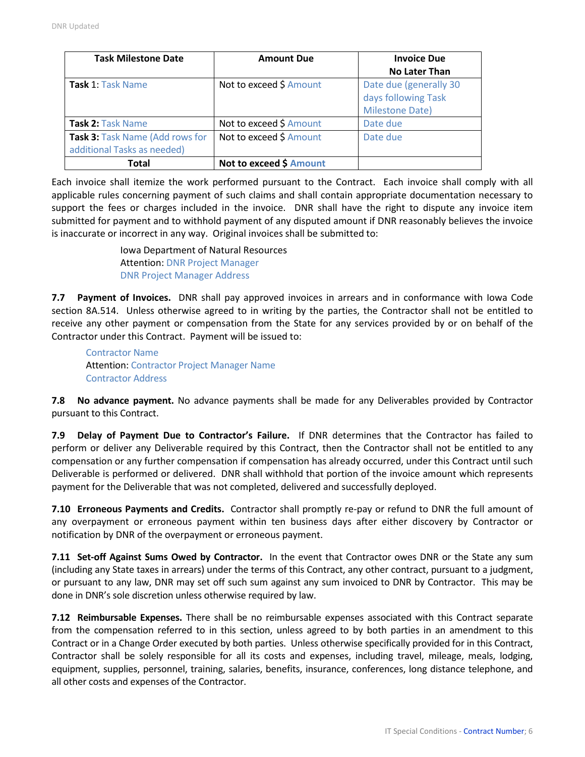| <b>Task Milestone Date</b>      | <b>Amount Due</b>       | <b>Invoice Due</b>     |  |  |
|---------------------------------|-------------------------|------------------------|--|--|
|                                 |                         | <b>No Later Than</b>   |  |  |
| <b>Task 1: Task Name</b>        | Not to exceed \$ Amount | Date due (generally 30 |  |  |
|                                 |                         | days following Task    |  |  |
|                                 |                         | <b>Milestone Date)</b> |  |  |
| <b>Task 2: Task Name</b>        | Not to exceed \$ Amount | Date due               |  |  |
| Task 3: Task Name (Add rows for | Not to exceed \$ Amount | Date due               |  |  |
| additional Tasks as needed)     |                         |                        |  |  |
| Total                           | Not to exceed \$ Amount |                        |  |  |

Each invoice shall itemize the work performed pursuant to the Contract. Each invoice shall comply with all applicable rules concerning payment of such claims and shall contain appropriate documentation necessary to support the fees or charges included in the invoice. DNR shall have the right to dispute any invoice item submitted for payment and to withhold payment of any disputed amount if DNR reasonably believes the invoice is inaccurate or incorrect in any way. Original invoices shall be submitted to:

> Iowa Department of Natural Resources Attention: DNR Project Manager DNR Project Manager Address

**7.7 Payment of Invoices.** DNR shall pay approved invoices in arrears and in conformance with Iowa Code section 8A.514. Unless otherwise agreed to in writing by the parties, the Contractor shall not be entitled to receive any other payment or compensation from the State for any services provided by or on behalf of the Contractor under this Contract. Payment will be issued to:

Contractor Name Attention: Contractor Project Manager Name Contractor Address

**7.8 No advance payment.** No advance payments shall be made for any Deliverables provided by Contractor pursuant to this Contract.

**7.9 Delay of Payment Due to Contractor's Failure.** If DNR determines that the Contractor has failed to perform or deliver any Deliverable required by this Contract, then the Contractor shall not be entitled to any compensation or any further compensation if compensation has already occurred, under this Contract until such Deliverable is performed or delivered. DNR shall withhold that portion of the invoice amount which represents payment for the Deliverable that was not completed, delivered and successfully deployed.

**7.10 Erroneous Payments and Credits.** Contractor shall promptly re-pay or refund to DNR the full amount of any overpayment or erroneous payment within ten business days after either discovery by Contractor or notification by DNR of the overpayment or erroneous payment.

**7.11 Set-off Against Sums Owed by Contractor.** In the event that Contractor owes DNR or the State any sum (including any State taxes in arrears) under the terms of this Contract, any other contract, pursuant to a judgment, or pursuant to any law, DNR may set off such sum against any sum invoiced to DNR by Contractor. This may be done in DNR's sole discretion unless otherwise required by law.

**7.12 Reimbursable Expenses.** There shall be no reimbursable expenses associated with this Contract separate from the compensation referred to in this section, unless agreed to by both parties in an amendment to this Contract or in a Change Order executed by both parties. Unless otherwise specifically provided for in this Contract, Contractor shall be solely responsible for all its costs and expenses, including travel, mileage, meals, lodging, equipment, supplies, personnel, training, salaries, benefits, insurance, conferences, long distance telephone, and all other costs and expenses of the Contractor.